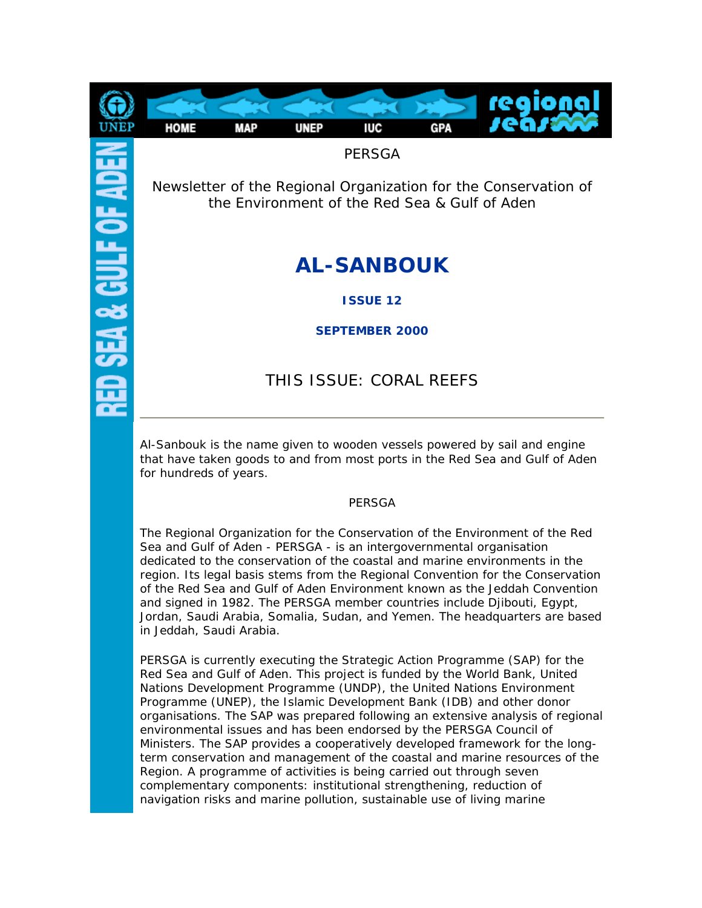**HOME** 

**MAP** 

**UNEP** 

PERSGA

IUC

GPA

Newsletter of the Regional Organization for the Conservation of the Environment of the Red Sea & Gulf of Aden

# **AL-SANBOUK**

**ISSUE 12**

**SEPTEMBER 2000**

*THIS ISSUE: CORAL REEFS*

Al-Sanbouk is the name given to wooden vessels powered by sail and engine that have taken goods to and from most ports in the Red Sea and Gulf of Aden for hundreds of years.

### PERSGA

The Regional Organization for the Conservation of the Environment of the Red Sea and Gulf of Aden - PERSGA - is an intergovernmental organisation dedicated to the conservation of the coastal and marine environments in the region. Its legal basis stems from the Regional Convention for the Conservation of the Red Sea and Gulf of Aden Environment known as the Jeddah Convention and signed in 1982. The PERSGA member countries include Djibouti, Egypt, Jordan, Saudi Arabia, Somalia, Sudan, and Yemen. The headquarters are based in Jeddah, Saudi Arabia.

PERSGA is currently executing the Strategic Action Programme (SAP) for the Red Sea and Gulf of Aden. This project is funded by the World Bank, United Nations Development Programme (UNDP), the United Nations Environment Programme (UNEP), the Islamic Development Bank (IDB) and other donor organisations. The SAP was prepared following an extensive analysis of regional environmental issues and has been endorsed by the PERSGA Council of Ministers. The SAP provides a cooperatively developed framework for the longterm conservation and management of the coastal and marine resources of the Region. A programme of activities is being carried out through seven complementary components: institutional strengthening, reduction of navigation risks and marine pollution, sustainable use of living marine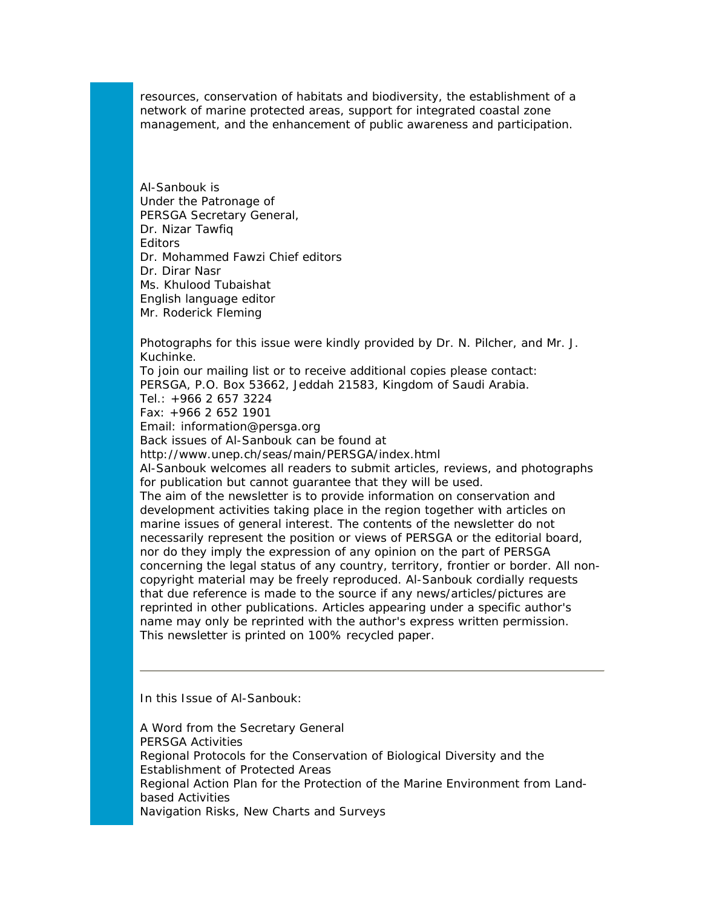resources, conservation of habitats and biodiversity, the establishment of a network of marine protected areas, support for integrated coastal zone management, and the enhancement of public awareness and participation.

Al-Sanbouk is Under the Patronage of PERSGA Secretary General, Dr. Nizar Tawfiq **Editors** Dr. Mohammed Fawzi Chief editors Dr. Dirar Nasr Ms. Khulood Tubaishat English language editor Mr. Roderick Fleming

Photographs for this issue were kindly provided by Dr. N. Pilcher, and Mr. J. Kuchinke.

To join our mailing list or to receive additional copies please contact: PERSGA, P.O. Box 53662, Jeddah 21583, Kingdom of Saudi Arabia. Tel.: +966 2 657 3224 Fax: +966 2 652 1901 Email: information@persga.org Back issues of Al-Sanbouk can be found at http://www.unep.ch/seas/main/PERSGA/index.html Al-Sanbouk welcomes all readers to submit articles, reviews, and photographs for publication but cannot guarantee that they will be used. The aim of the newsletter is to provide information on conservation and development activities taking place in the region together with articles on marine issues of general interest. The contents of the newsletter do not necessarily represent the position or views of PERSGA or the editorial board, nor do they imply the expression of any opinion on the part of PERSGA concerning the legal status of any country, territory, frontier or border. All noncopyright material may be freely reproduced. Al-Sanbouk cordially requests that due reference is made to the source if any news/articles/pictures are reprinted in other publications. Articles appearing under a specific author's name may only be reprinted with the author's express written permission. This newsletter is printed on 100% recycled paper.

In this Issue of Al-Sanbouk:

A Word from the Secretary General PERSGA Activities Regional Protocols for the Conservation of Biological Diversity and the Establishment of Protected Areas Regional Action Plan for the Protection of the Marine Environment from Landbased Activities Navigation Risks, New Charts and Surveys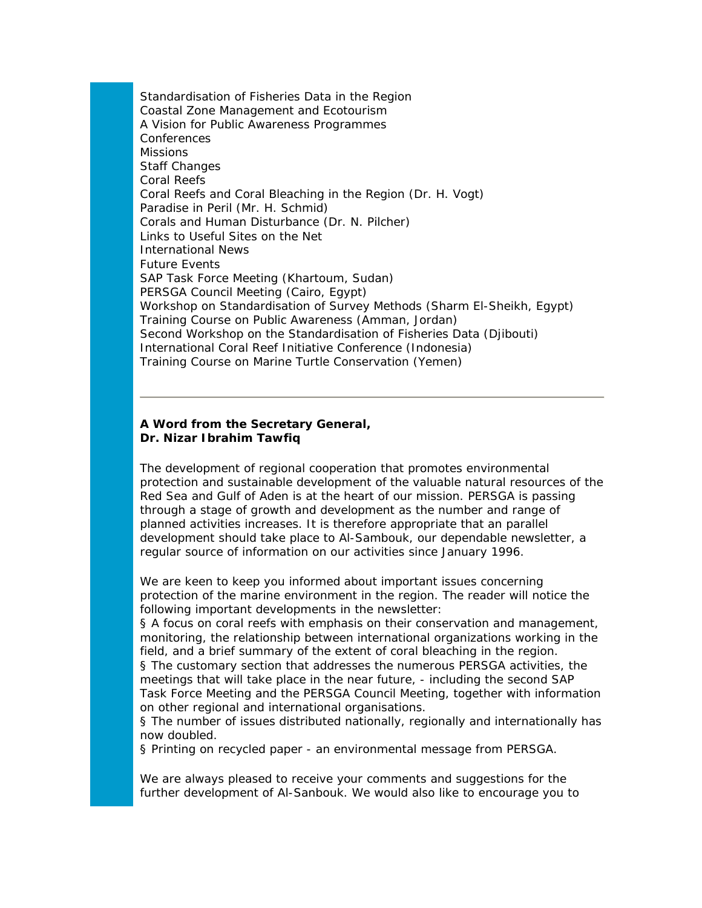Standardisation of Fisheries Data in the Region Coastal Zone Management and Ecotourism A Vision for Public Awareness Programmes Conferences Missions Staff Changes Coral Reefs Coral Reefs and Coral Bleaching in the Region (Dr. H. Vogt) Paradise in Peril (Mr. H. Schmid) Corals and Human Disturbance (Dr. N. Pilcher) Links to Useful Sites on the Net International News Future Events SAP Task Force Meeting (Khartoum, Sudan) PERSGA Council Meeting (Cairo, Egypt) Workshop on Standardisation of Survey Methods (Sharm El-Sheikh, Egypt) Training Course on Public Awareness (Amman, Jordan) Second Workshop on the Standardisation of Fisheries Data (Djibouti) International Coral Reef Initiative Conference (Indonesia) Training Course on Marine Turtle Conservation (Yemen)

#### **A Word from the Secretary General, Dr. Nizar Ibrahim Tawfiq**

The development of regional cooperation that promotes environmental protection and sustainable development of the valuable natural resources of the Red Sea and Gulf of Aden is at the heart of our mission. PERSGA is passing through a stage of growth and development as the number and range of planned activities increases. It is therefore appropriate that an parallel development should take place to Al-Sambouk, our dependable newsletter, a regular source of information on our activities since January 1996.

We are keen to keep you informed about important issues concerning protection of the marine environment in the region. The reader will notice the following important developments in the newsletter:

§ A focus on coral reefs with emphasis on their conservation and management, monitoring, the relationship between international organizations working in the field, and a brief summary of the extent of coral bleaching in the region. § The customary section that addresses the numerous PERSGA activities, the meetings that will take place in the near future, - including the second SAP Task Force Meeting and the PERSGA Council Meeting, together with information on other regional and international organisations.

§ The number of issues distributed nationally, regionally and internationally has now doubled.

§ Printing on recycled paper - an environmental message from PERSGA.

We are always pleased to receive your comments and suggestions for the further development of Al-Sanbouk. We would also like to encourage you to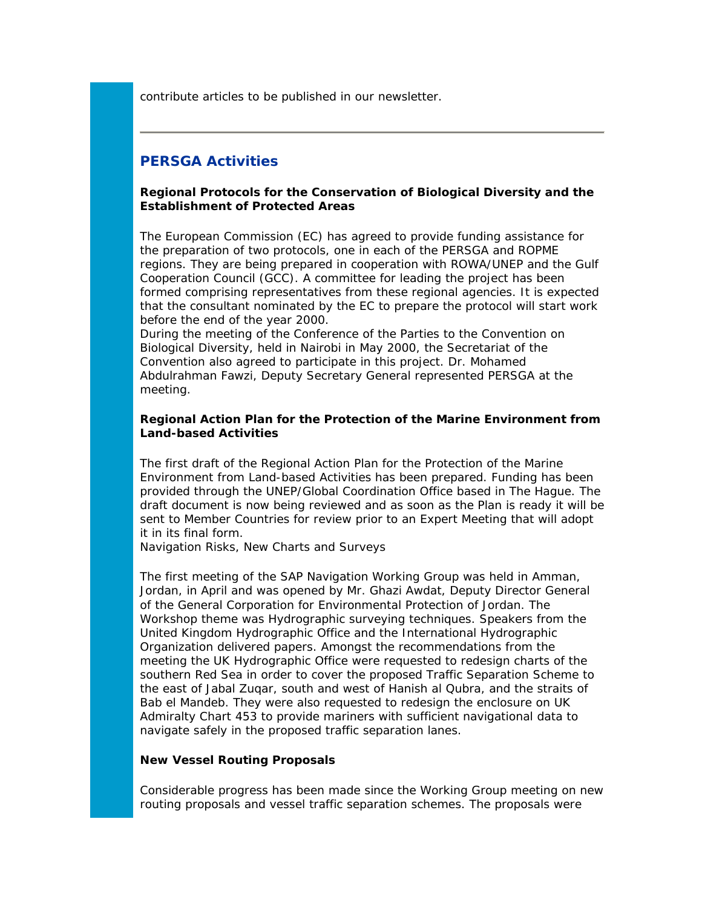contribute articles to be published in our newsletter.

## **PERSGA Activities**

## **Regional Protocols for the Conservation of Biological Diversity and the Establishment of Protected Areas**

The European Commission (EC) has agreed to provide funding assistance for the preparation of two protocols, one in each of the PERSGA and ROPME regions. They are being prepared in cooperation with ROWA/UNEP and the Gulf Cooperation Council (GCC). A committee for leading the project has been formed comprising representatives from these regional agencies. It is expected that the consultant nominated by the EC to prepare the protocol will start work before the end of the year 2000.

During the meeting of the Conference of the Parties to the Convention on Biological Diversity, held in Nairobi in May 2000, the Secretariat of the Convention also agreed to participate in this project. Dr. Mohamed Abdulrahman Fawzi, Deputy Secretary General represented PERSGA at the meeting.

## **Regional Action Plan for the Protection of the Marine Environment from Land-based Activities**

The first draft of the Regional Action Plan for the Protection of the Marine Environment from Land-based Activities has been prepared. Funding has been provided through the UNEP/Global Coordination Office based in The Hague. The draft document is now being reviewed and as soon as the Plan is ready it will be sent to Member Countries for review prior to an Expert Meeting that will adopt it in its final form.

Navigation Risks, New Charts and Surveys

The first meeting of the SAP Navigation Working Group was held in Amman, Jordan, in April and was opened by Mr. Ghazi Awdat, Deputy Director General of the General Corporation for Environmental Protection of Jordan. The Workshop theme was Hydrographic surveying techniques. Speakers from the United Kingdom Hydrographic Office and the International Hydrographic Organization delivered papers. Amongst the recommendations from the meeting the UK Hydrographic Office were requested to redesign charts of the southern Red Sea in order to cover the proposed Traffic Separation Scheme to the east of Jabal Zuqar, south and west of Hanish al Qubra, and the straits of Bab el Mandeb. They were also requested to redesign the enclosure on UK Admiralty Chart 453 to provide mariners with sufficient navigational data to navigate safely in the proposed traffic separation lanes.

#### **New Vessel Routing Proposals**

Considerable progress has been made since the Working Group meeting on new routing proposals and vessel traffic separation schemes. The proposals were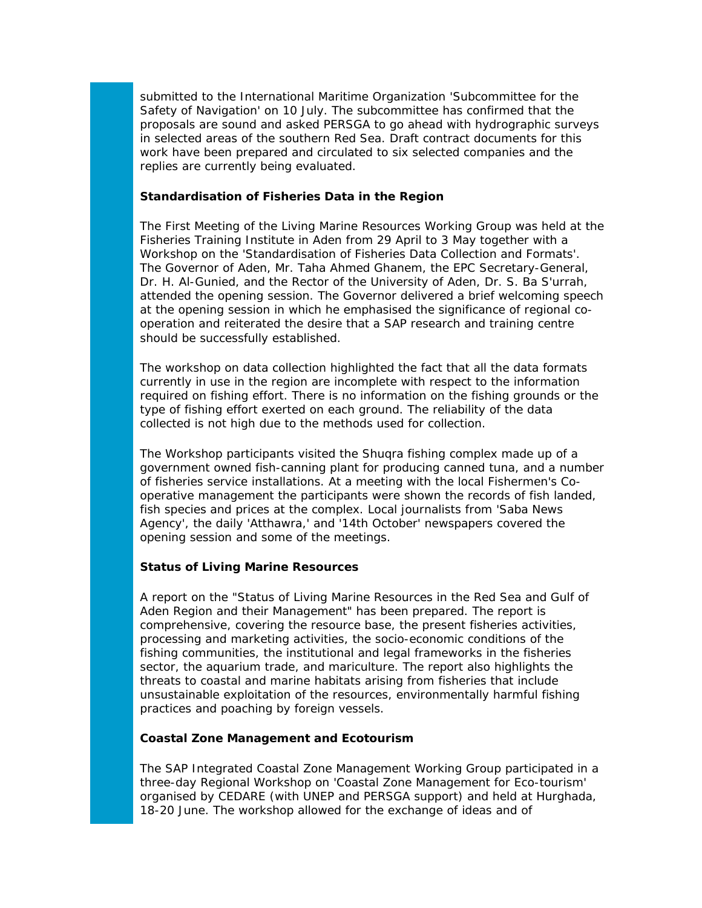submitted to the International Maritime Organization 'Subcommittee for the Safety of Navigation' on 10 July. The subcommittee has confirmed that the proposals are sound and asked PERSGA to go ahead with hydrographic surveys in selected areas of the southern Red Sea. Draft contract documents for this work have been prepared and circulated to six selected companies and the replies are currently being evaluated.

#### **Standardisation of Fisheries Data in the Region**

The First Meeting of the Living Marine Resources Working Group was held at the Fisheries Training Institute in Aden from 29 April to 3 May together with a Workshop on the 'Standardisation of Fisheries Data Collection and Formats'. The Governor of Aden, Mr. Taha Ahmed Ghanem, the EPC Secretary-General, Dr. H. Al-Gunied, and the Rector of the University of Aden, Dr. S. Ba S'urrah, attended the opening session. The Governor delivered a brief welcoming speech at the opening session in which he emphasised the significance of regional cooperation and reiterated the desire that a SAP research and training centre should be successfully established.

The workshop on data collection highlighted the fact that all the data formats currently in use in the region are incomplete with respect to the information required on fishing effort. There is no information on the fishing grounds or the type of fishing effort exerted on each ground. The reliability of the data collected is not high due to the methods used for collection.

The Workshop participants visited the Shuqra fishing complex made up of a government owned fish-canning plant for producing canned tuna, and a number of fisheries service installations. At a meeting with the local Fishermen's Cooperative management the participants were shown the records of fish landed, fish species and prices at the complex. Local journalists from 'Saba News Agency', the daily 'Atthawra,' and '14th October' newspapers covered the opening session and some of the meetings.

### **Status of Living Marine Resources**

A report on the "Status of Living Marine Resources in the Red Sea and Gulf of Aden Region and their Management" has been prepared. The report is comprehensive, covering the resource base, the present fisheries activities, processing and marketing activities, the socio-economic conditions of the fishing communities, the institutional and legal frameworks in the fisheries sector, the aquarium trade, and mariculture. The report also highlights the threats to coastal and marine habitats arising from fisheries that include unsustainable exploitation of the resources, environmentally harmful fishing practices and poaching by foreign vessels.

### **Coastal Zone Management and Ecotourism**

The SAP Integrated Coastal Zone Management Working Group participated in a three-day Regional Workshop on 'Coastal Zone Management for Eco-tourism' organised by CEDARE (with UNEP and PERSGA support) and held at Hurghada, 18-20 June. The workshop allowed for the exchange of ideas and of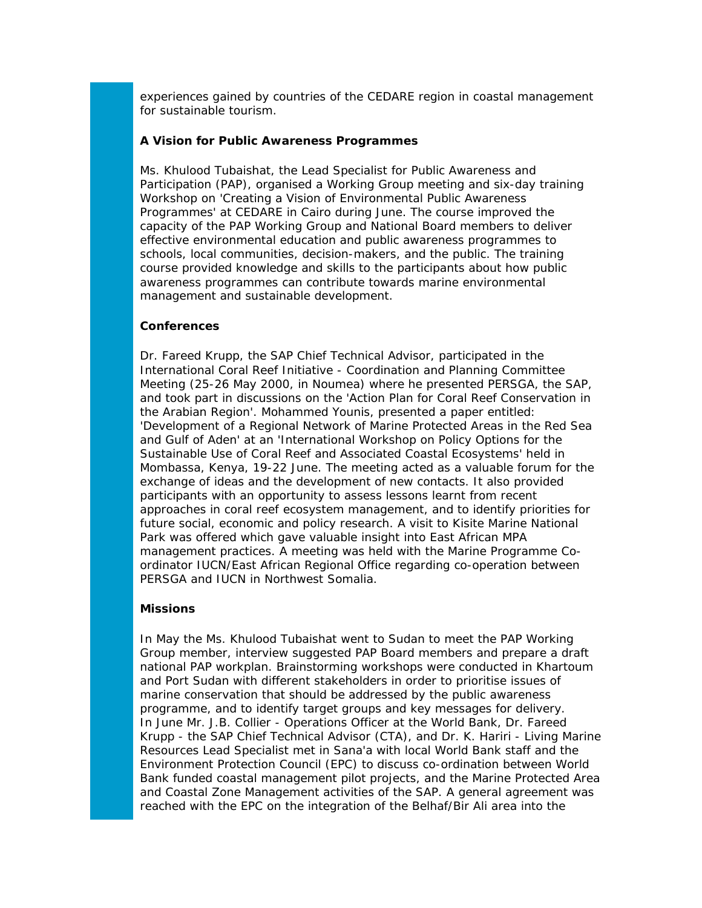experiences gained by countries of the CEDARE region in coastal management for sustainable tourism.

#### **A Vision for Public Awareness Programmes**

Ms. Khulood Tubaishat, the Lead Specialist for Public Awareness and Participation (PAP), organised a Working Group meeting and six-day training Workshop on 'Creating a Vision of Environmental Public Awareness Programmes' at CEDARE in Cairo during June. The course improved the capacity of the PAP Working Group and National Board members to deliver effective environmental education and public awareness programmes to schools, local communities, decision-makers, and the public. The training course provided knowledge and skills to the participants about how public awareness programmes can contribute towards marine environmental management and sustainable development.

### **Conferences**

Dr. Fareed Krupp, the SAP Chief Technical Advisor, participated in the International Coral Reef Initiative - Coordination and Planning Committee Meeting (25-26 May 2000, in Noumea) where he presented PERSGA, the SAP, and took part in discussions on the 'Action Plan for Coral Reef Conservation in the Arabian Region'. Mohammed Younis, presented a paper entitled: 'Development of a Regional Network of Marine Protected Areas in the Red Sea and Gulf of Aden' at an 'International Workshop on Policy Options for the Sustainable Use of Coral Reef and Associated Coastal Ecosystems' held in Mombassa, Kenya, 19-22 June. The meeting acted as a valuable forum for the exchange of ideas and the development of new contacts. It also provided participants with an opportunity to assess lessons learnt from recent approaches in coral reef ecosystem management, and to identify priorities for future social, economic and policy research. A visit to Kisite Marine National Park was offered which gave valuable insight into East African MPA management practices. A meeting was held with the Marine Programme Coordinator IUCN/East African Regional Office regarding co-operation between PERSGA and IUCN in Northwest Somalia.

### **Missions**

In May the Ms. Khulood Tubaishat went to Sudan to meet the PAP Working Group member, interview suggested PAP Board members and prepare a draft national PAP workplan. Brainstorming workshops were conducted in Khartoum and Port Sudan with different stakeholders in order to prioritise issues of marine conservation that should be addressed by the public awareness programme, and to identify target groups and key messages for delivery. In June Mr. J.B. Collier - Operations Officer at the World Bank, Dr. Fareed Krupp - the SAP Chief Technical Advisor (CTA), and Dr. K. Hariri - Living Marine Resources Lead Specialist met in Sana'a with local World Bank staff and the Environment Protection Council (EPC) to discuss co-ordination between World Bank funded coastal management pilot projects, and the Marine Protected Area and Coastal Zone Management activities of the SAP. A general agreement was reached with the EPC on the integration of the Belhaf/Bir Ali area into the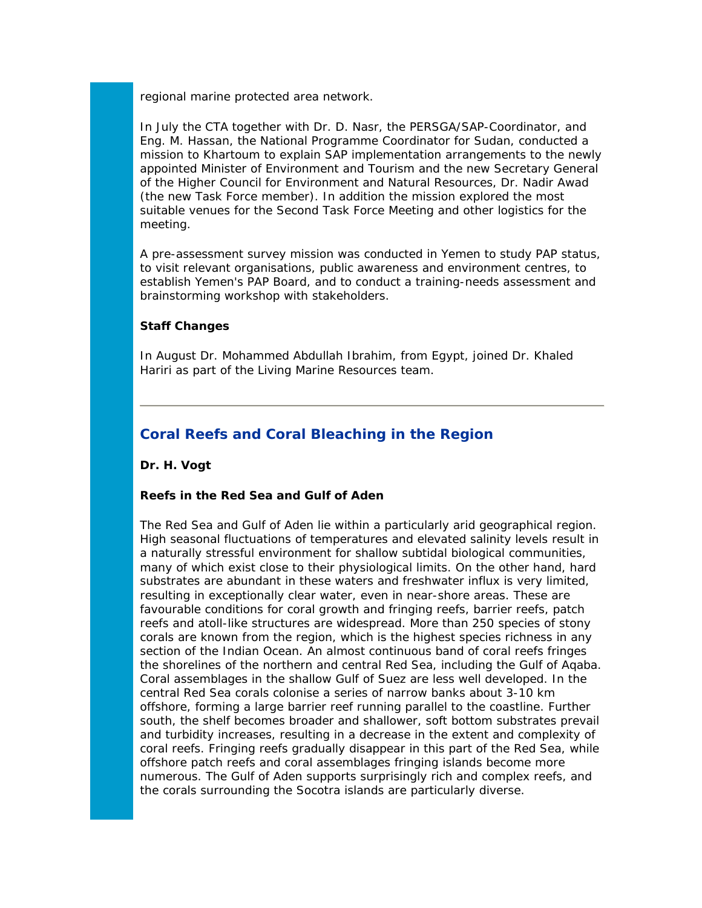regional marine protected area network.

In July the CTA together with Dr. D. Nasr, the PERSGA/SAP-Coordinator, and Eng. M. Hassan, the National Programme Coordinator for Sudan, conducted a mission to Khartoum to explain SAP implementation arrangements to the newly appointed Minister of Environment and Tourism and the new Secretary General of the Higher Council for Environment and Natural Resources, Dr. Nadir Awad (the new Task Force member). In addition the mission explored the most suitable venues for the Second Task Force Meeting and other logistics for the meeting.

A pre-assessment survey mission was conducted in Yemen to study PAP status, to visit relevant organisations, public awareness and environment centres, to establish Yemen's PAP Board, and to conduct a training-needs assessment and brainstorming workshop with stakeholders.

#### **Staff Changes**

In August Dr. Mohammed Abdullah Ibrahim, from Egypt, joined Dr. Khaled Hariri as part of the Living Marine Resources team.

## **Coral Reefs and Coral Bleaching in the Region**

**Dr. H. Vogt**

### **Reefs in the Red Sea and Gulf of Aden**

The Red Sea and Gulf of Aden lie within a particularly arid geographical region. High seasonal fluctuations of temperatures and elevated salinity levels result in a naturally stressful environment for shallow subtidal biological communities, many of which exist close to their physiological limits. On the other hand, hard substrates are abundant in these waters and freshwater influx is very limited, resulting in exceptionally clear water, even in near-shore areas. These are favourable conditions for coral growth and fringing reefs, barrier reefs, patch reefs and atoll-like structures are widespread. More than 250 species of stony corals are known from the region, which is the highest species richness in any section of the Indian Ocean. An almost continuous band of coral reefs fringes the shorelines of the northern and central Red Sea, including the Gulf of Aqaba. Coral assemblages in the shallow Gulf of Suez are less well developed. In the central Red Sea corals colonise a series of narrow banks about 3-10 km offshore, forming a large barrier reef running parallel to the coastline. Further south, the shelf becomes broader and shallower, soft bottom substrates prevail and turbidity increases, resulting in a decrease in the extent and complexity of coral reefs. Fringing reefs gradually disappear in this part of the Red Sea, while offshore patch reefs and coral assemblages fringing islands become more numerous. The Gulf of Aden supports surprisingly rich and complex reefs, and the corals surrounding the Socotra islands are particularly diverse.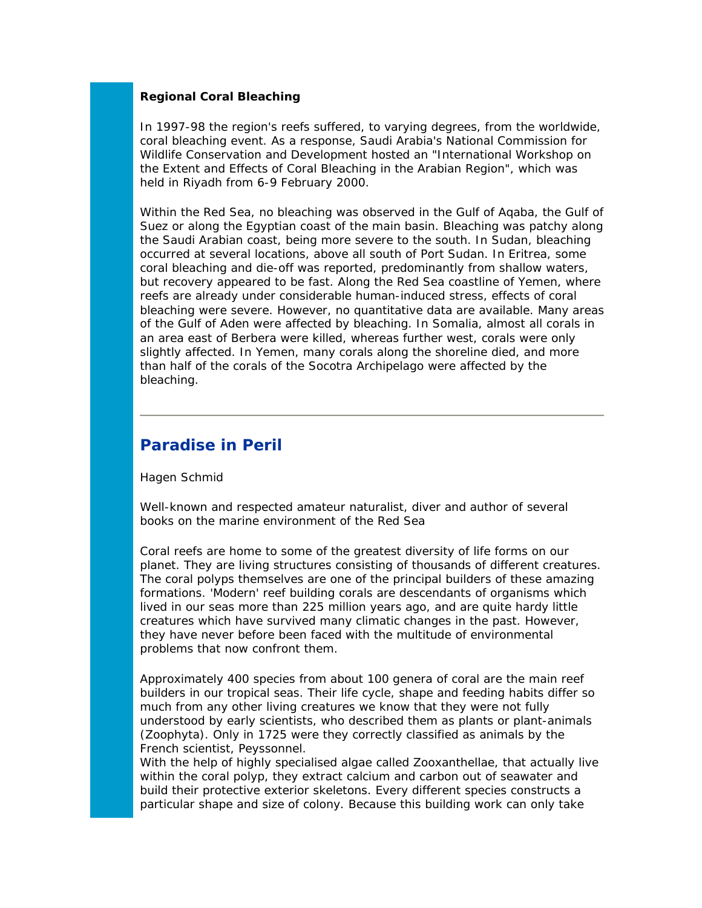#### **Regional Coral Bleaching**

In 1997-98 the region's reefs suffered, to varying degrees, from the worldwide, coral bleaching event. As a response, Saudi Arabia's National Commission for Wildlife Conservation and Development hosted an "International Workshop on the Extent and Effects of Coral Bleaching in the Arabian Region", which was held in Riyadh from 6-9 February 2000.

Within the Red Sea, no bleaching was observed in the Gulf of Aqaba, the Gulf of Suez or along the Egyptian coast of the main basin. Bleaching was patchy along the Saudi Arabian coast, being more severe to the south. In Sudan, bleaching occurred at several locations, above all south of Port Sudan. In Eritrea, some coral bleaching and die-off was reported, predominantly from shallow waters, but recovery appeared to be fast. Along the Red Sea coastline of Yemen, where reefs are already under considerable human-induced stress, effects of coral bleaching were severe. However, no quantitative data are available. Many areas of the Gulf of Aden were affected by bleaching. In Somalia, almost all corals in an area east of Berbera were killed, whereas further west, corals were only slightly affected. In Yemen, many corals along the shoreline died, and more than half of the corals of the Socotra Archipelago were affected by the bleaching.

## **Paradise in Peril**

#### Hagen Schmid

Well-known and respected amateur naturalist, diver and author of several books on the marine environment of the Red Sea

Coral reefs are home to some of the greatest diversity of life forms on our planet. They are living structures consisting of thousands of different creatures. The coral polyps themselves are one of the principal builders of these amazing formations. 'Modern' reef building corals are descendants of organisms which lived in our seas more than 225 million years ago, and are quite hardy little creatures which have survived many climatic changes in the past. However, they have never before been faced with the multitude of environmental problems that now confront them.

Approximately 400 species from about 100 genera of coral are the main reef builders in our tropical seas. Their life cycle, shape and feeding habits differ so much from any other living creatures we know that they were not fully understood by early scientists, who described them as plants or plant-animals (Zoophyta). Only in 1725 were they correctly classified as animals by the French scientist, Peyssonnel.

With the help of highly specialised algae called Zooxanthellae, that actually live within the coral polyp, they extract calcium and carbon out of seawater and build their protective exterior skeletons. Every different species constructs a particular shape and size of colony. Because this building work can only take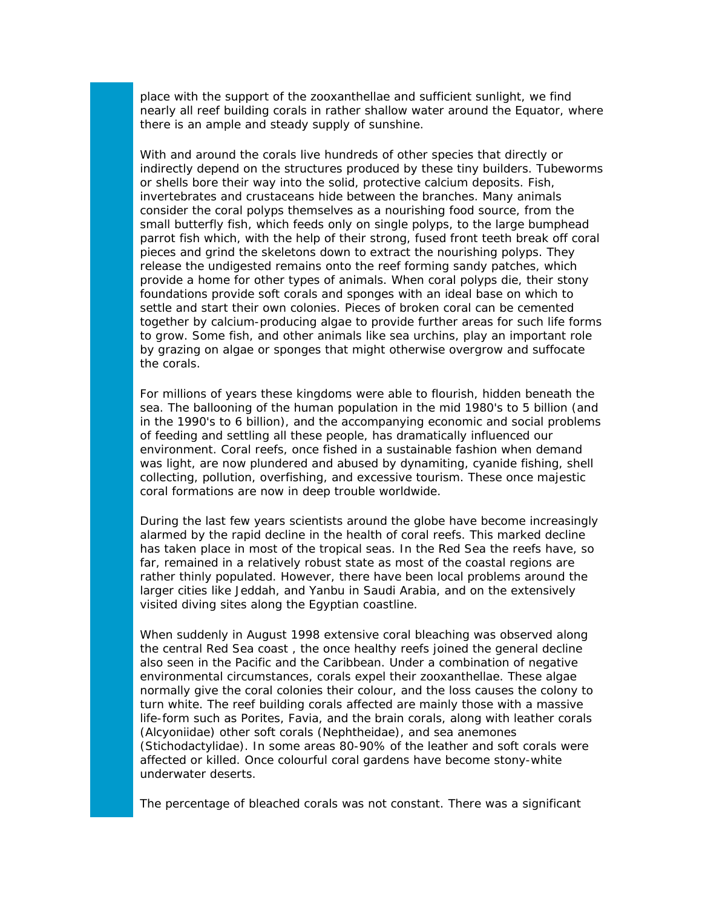place with the support of the zooxanthellae and sufficient sunlight, we find nearly all reef building corals in rather shallow water around the Equator, where there is an ample and steady supply of sunshine.

With and around the corals live hundreds of other species that directly or indirectly depend on the structures produced by these tiny builders. Tubeworms or shells bore their way into the solid, protective calcium deposits. Fish, invertebrates and crustaceans hide between the branches. Many animals consider the coral polyps themselves as a nourishing food source, from the small butterfly fish, which feeds only on single polyps, to the large bumphead parrot fish which, with the help of their strong, fused front teeth break off coral pieces and grind the skeletons down to extract the nourishing polyps. They release the undigested remains onto the reef forming sandy patches, which provide a home for other types of animals. When coral polyps die, their stony foundations provide soft corals and sponges with an ideal base on which to settle and start their own colonies. Pieces of broken coral can be cemented together by calcium-producing algae to provide further areas for such life forms to grow. Some fish, and other animals like sea urchins, play an important role by grazing on algae or sponges that might otherwise overgrow and suffocate the corals.

For millions of years these kingdoms were able to flourish, hidden beneath the sea. The ballooning of the human population in the mid 1980's to 5 billion (and in the 1990's to 6 billion), and the accompanying economic and social problems of feeding and settling all these people, has dramatically influenced our environment. Coral reefs, once fished in a sustainable fashion when demand was light, are now plundered and abused by dynamiting, cyanide fishing, shell collecting, pollution, overfishing, and excessive tourism. These once majestic coral formations are now in deep trouble worldwide.

During the last few years scientists around the globe have become increasingly alarmed by the rapid decline in the health of coral reefs. This marked decline has taken place in most of the tropical seas. In the Red Sea the reefs have, so far, remained in a relatively robust state as most of the coastal regions are rather thinly populated. However, there have been local problems around the larger cities like Jeddah, and Yanbu in Saudi Arabia, and on the extensively visited diving sites along the Egyptian coastline.

When suddenly in August 1998 extensive coral bleaching was observed along the central Red Sea coast , the once healthy reefs joined the general decline also seen in the Pacific and the Caribbean. Under a combination of negative environmental circumstances, corals expel their zooxanthellae. These algae normally give the coral colonies their colour, and the loss causes the colony to turn white. The reef building corals affected are mainly those with a massive life-form such as Porites, Favia, and the brain corals, along with leather corals (Alcyoniidae) other soft corals (Nephtheidae), and sea anemones (Stichodactylidae). In some areas 80-90% of the leather and soft corals were affected or killed. Once colourful coral gardens have become stony-white underwater deserts.

The percentage of bleached corals was not constant. There was a significant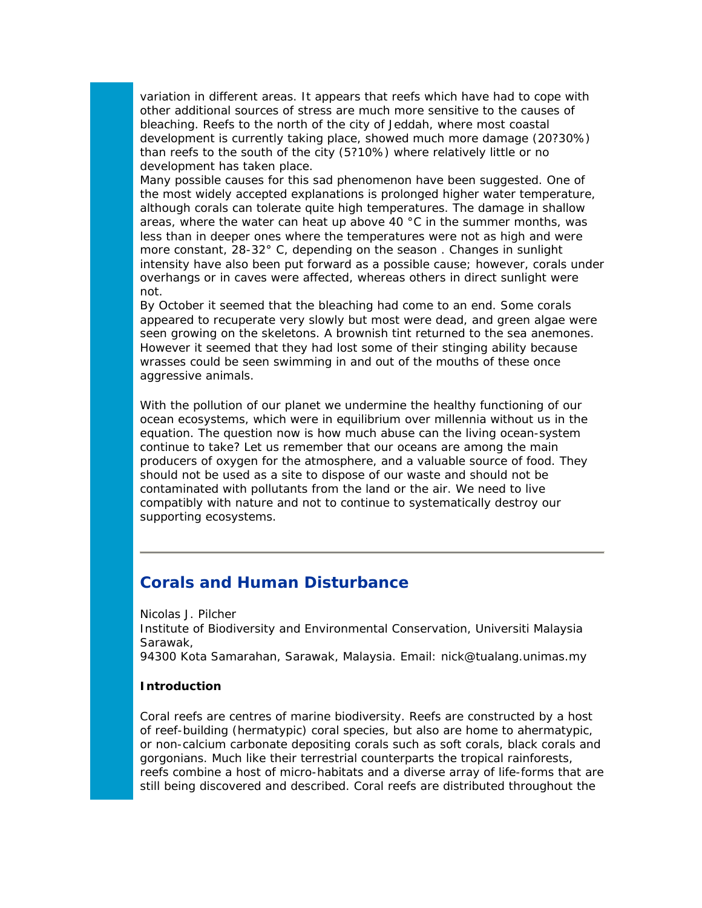variation in different areas. It appears that reefs which have had to cope with other additional sources of stress are much more sensitive to the causes of bleaching. Reefs to the north of the city of Jeddah, where most coastal development is currently taking place, showed much more damage (20?30%) than reefs to the south of the city (5?10%) where relatively little or no development has taken place.

Many possible causes for this sad phenomenon have been suggested. One of the most widely accepted explanations is prolonged higher water temperature, although corals can tolerate quite high temperatures. The damage in shallow areas, where the water can heat up above 40  $^{\circ}$ C in the summer months, was less than in deeper ones where the temperatures were not as high and were more constant, 28-32° C, depending on the season . Changes in sunlight intensity have also been put forward as a possible cause; however, corals under overhangs or in caves were affected, whereas others in direct sunlight were not.

By October it seemed that the bleaching had come to an end. Some corals appeared to recuperate very slowly but most were dead, and green algae were seen growing on the skeletons. A brownish tint returned to the sea anemones. However it seemed that they had lost some of their stinging ability because wrasses could be seen swimming in and out of the mouths of these once aggressive animals.

With the pollution of our planet we undermine the healthy functioning of our ocean ecosystems, which were in equilibrium over millennia without us in the equation. The question now is how much abuse can the living ocean-system continue to take? Let us remember that our oceans are among the main producers of oxygen for the atmosphere, and a valuable source of food. They should not be used as a site to dispose of our waste and should not be contaminated with pollutants from the land or the air. We need to live compatibly with nature and not to continue to systematically destroy our supporting ecosystems.

## **Corals and Human Disturbance**

Nicolas J. Pilcher

Institute of Biodiversity and Environmental Conservation, Universiti Malaysia Sarawak,

94300 Kota Samarahan, Sarawak, Malaysia. Email: nick@tualang.unimas.my

#### **Introduction**

Coral reefs are centres of marine biodiversity. Reefs are constructed by a host of reef-building (hermatypic) coral species, but also are home to ahermatypic, or non-calcium carbonate depositing corals such as soft corals, black corals and gorgonians. Much like their terrestrial counterparts the tropical rainforests, reefs combine a host of micro-habitats and a diverse array of life-forms that are still being discovered and described. Coral reefs are distributed throughout the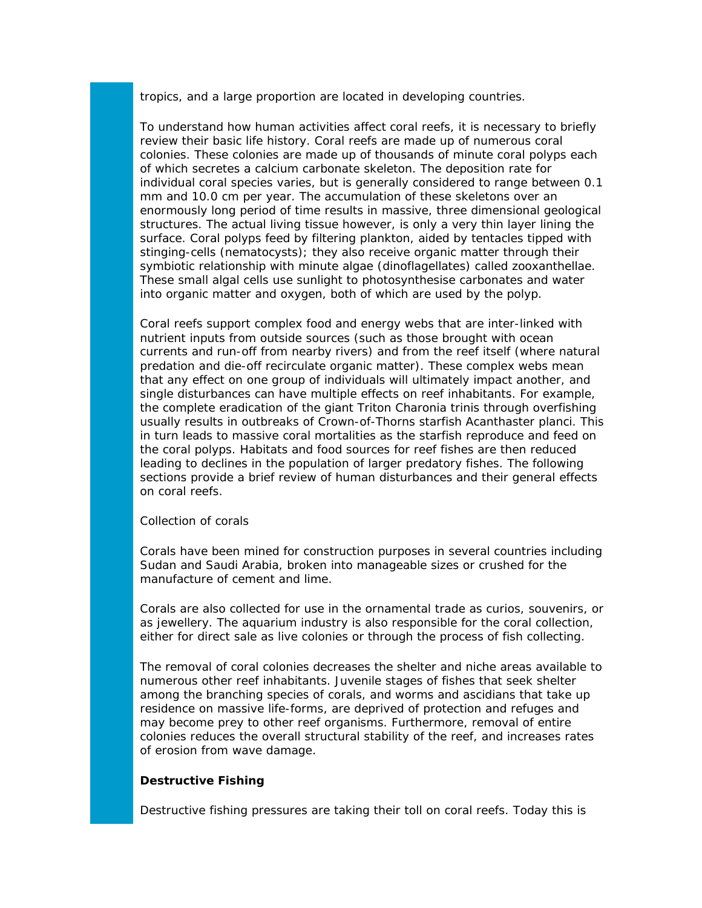tropics, and a large proportion are located in developing countries.

To understand how human activities affect coral reefs, it is necessary to briefly review their basic life history. Coral reefs are made up of numerous coral colonies. These colonies are made up of thousands of minute coral polyps each of which secretes a calcium carbonate skeleton. The deposition rate for individual coral species varies, but is generally considered to range between 0.1 mm and 10.0 cm per year. The accumulation of these skeletons over an enormously long period of time results in massive, three dimensional geological structures. The actual living tissue however, is only a very thin layer lining the surface. Coral polyps feed by filtering plankton, aided by tentacles tipped with stinging-cells (nematocysts); they also receive organic matter through their symbiotic relationship with minute algae (dinoflagellates) called zooxanthellae. These small algal cells use sunlight to photosynthesise carbonates and water into organic matter and oxygen, both of which are used by the polyp.

Coral reefs support complex food and energy webs that are inter-linked with nutrient inputs from outside sources (such as those brought with ocean currents and run-off from nearby rivers) and from the reef itself (where natural predation and die-off recirculate organic matter). These complex webs mean that any effect on one group of individuals will ultimately impact another, and single disturbances can have multiple effects on reef inhabitants. For example, the complete eradication of the giant Triton Charonia trinis through overfishing usually results in outbreaks of Crown-of-Thorns starfish Acanthaster planci. This in turn leads to massive coral mortalities as the starfish reproduce and feed on the coral polyps. Habitats and food sources for reef fishes are then reduced leading to declines in the population of larger predatory fishes. The following sections provide a brief review of human disturbances and their general effects on coral reefs.

Collection of corals

Corals have been mined for construction purposes in several countries including Sudan and Saudi Arabia, broken into manageable sizes or crushed for the manufacture of cement and lime.

Corals are also collected for use in the ornamental trade as curios, souvenirs, or as jewellery. The aquarium industry is also responsible for the coral collection, either for direct sale as live colonies or through the process of fish collecting.

The removal of coral colonies decreases the shelter and niche areas available to numerous other reef inhabitants. Juvenile stages of fishes that seek shelter among the branching species of corals, and worms and ascidians that take up residence on massive life-forms, are deprived of protection and refuges and may become prey to other reef organisms. Furthermore, removal of entire colonies reduces the overall structural stability of the reef, and increases rates of erosion from wave damage.

#### **Destructive Fishing**

Destructive fishing pressures are taking their toll on coral reefs. Today this is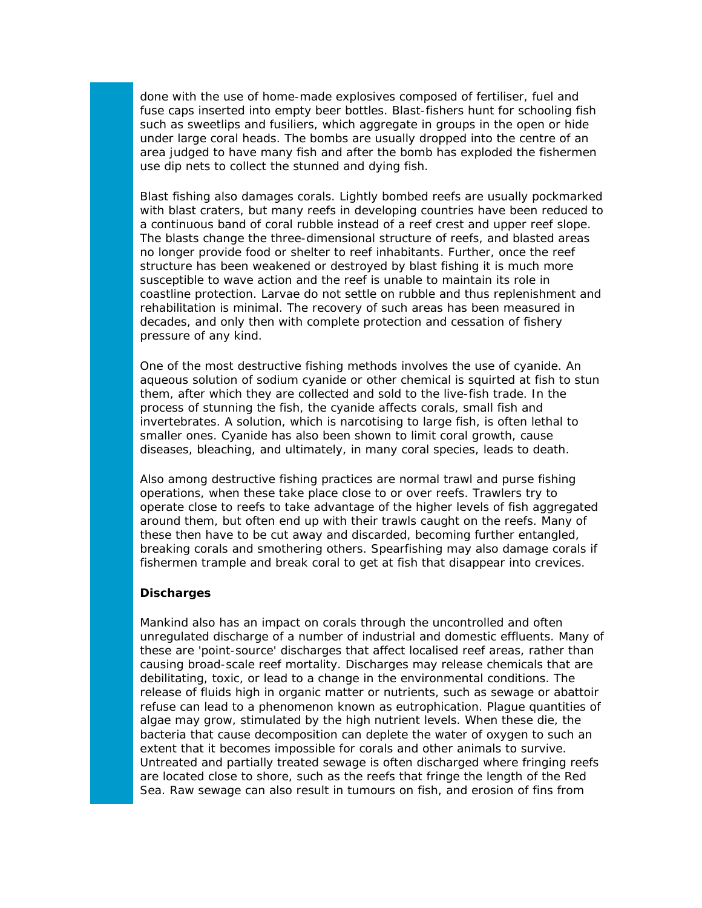done with the use of home-made explosives composed of fertiliser, fuel and fuse caps inserted into empty beer bottles. Blast-fishers hunt for schooling fish such as sweetlips and fusiliers, which aggregate in groups in the open or hide under large coral heads. The bombs are usually dropped into the centre of an area judged to have many fish and after the bomb has exploded the fishermen use dip nets to collect the stunned and dying fish.

Blast fishing also damages corals. Lightly bombed reefs are usually pockmarked with blast craters, but many reefs in developing countries have been reduced to a continuous band of coral rubble instead of a reef crest and upper reef slope. The blasts change the three-dimensional structure of reefs, and blasted areas no longer provide food or shelter to reef inhabitants. Further, once the reef structure has been weakened or destroyed by blast fishing it is much more susceptible to wave action and the reef is unable to maintain its role in coastline protection. Larvae do not settle on rubble and thus replenishment and rehabilitation is minimal. The recovery of such areas has been measured in decades, and only then with complete protection and cessation of fishery pressure of any kind.

One of the most destructive fishing methods involves the use of cyanide. An aqueous solution of sodium cyanide or other chemical is squirted at fish to stun them, after which they are collected and sold to the live-fish trade. In the process of stunning the fish, the cyanide affects corals, small fish and invertebrates. A solution, which is narcotising to large fish, is often lethal to smaller ones. Cyanide has also been shown to limit coral growth, cause diseases, bleaching, and ultimately, in many coral species, leads to death.

Also among destructive fishing practices are normal trawl and purse fishing operations, when these take place close to or over reefs. Trawlers try to operate close to reefs to take advantage of the higher levels of fish aggregated around them, but often end up with their trawls caught on the reefs. Many of these then have to be cut away and discarded, becoming further entangled, breaking corals and smothering others. Spearfishing may also damage corals if fishermen trample and break coral to get at fish that disappear into crevices.

#### **Discharges**

Mankind also has an impact on corals through the uncontrolled and often unregulated discharge of a number of industrial and domestic effluents. Many of these are 'point-source' discharges that affect localised reef areas, rather than causing broad-scale reef mortality. Discharges may release chemicals that are debilitating, toxic, or lead to a change in the environmental conditions. The release of fluids high in organic matter or nutrients, such as sewage or abattoir refuse can lead to a phenomenon known as eutrophication. Plague quantities of algae may grow, stimulated by the high nutrient levels. When these die, the bacteria that cause decomposition can deplete the water of oxygen to such an extent that it becomes impossible for corals and other animals to survive. Untreated and partially treated sewage is often discharged where fringing reefs are located close to shore, such as the reefs that fringe the length of the Red Sea. Raw sewage can also result in tumours on fish, and erosion of fins from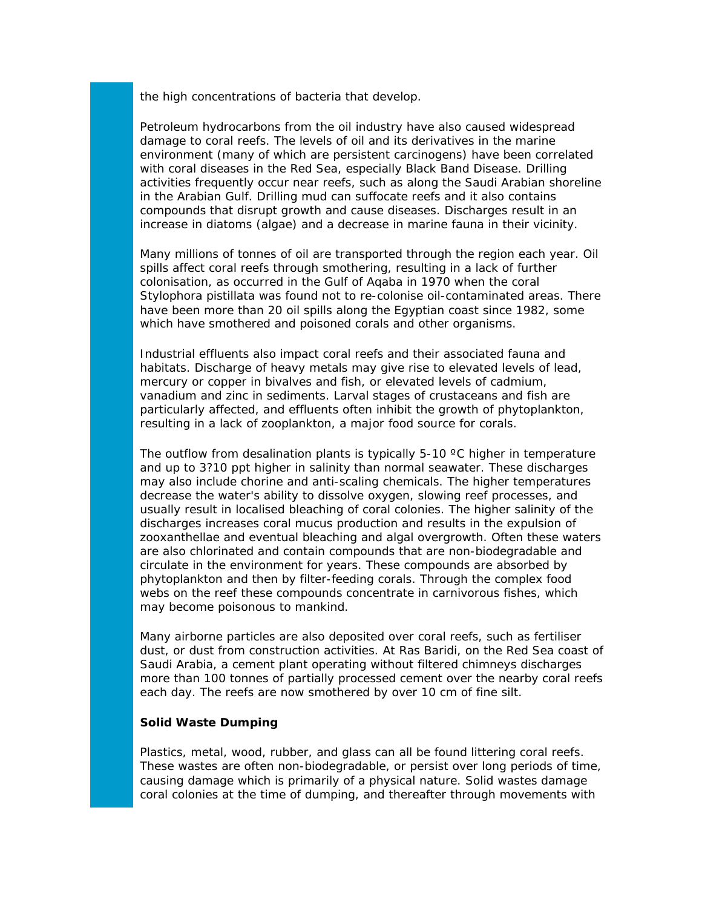the high concentrations of bacteria that develop.

Petroleum hydrocarbons from the oil industry have also caused widespread damage to coral reefs. The levels of oil and its derivatives in the marine environment (many of which are persistent carcinogens) have been correlated with coral diseases in the Red Sea, especially Black Band Disease. Drilling activities frequently occur near reefs, such as along the Saudi Arabian shoreline in the Arabian Gulf. Drilling mud can suffocate reefs and it also contains compounds that disrupt growth and cause diseases. Discharges result in an increase in diatoms (algae) and a decrease in marine fauna in their vicinity.

Many millions of tonnes of oil are transported through the region each year. Oil spills affect coral reefs through smothering, resulting in a lack of further colonisation, as occurred in the Gulf of Aqaba in 1970 when the coral Stylophora pistillata was found not to re-colonise oil-contaminated areas. There have been more than 20 oil spills along the Egyptian coast since 1982, some which have smothered and poisoned corals and other organisms.

Industrial effluents also impact coral reefs and their associated fauna and habitats. Discharge of heavy metals may give rise to elevated levels of lead, mercury or copper in bivalves and fish, or elevated levels of cadmium, vanadium and zinc in sediments. Larval stages of crustaceans and fish are particularly affected, and effluents often inhibit the growth of phytoplankton, resulting in a lack of zooplankton, a major food source for corals.

The outflow from desalination plants is typically  $5-10$  °C higher in temperature and up to 3?10 ppt higher in salinity than normal seawater. These discharges may also include chorine and anti-scaling chemicals. The higher temperatures decrease the water's ability to dissolve oxygen, slowing reef processes, and usually result in localised bleaching of coral colonies. The higher salinity of the discharges increases coral mucus production and results in the expulsion of zooxanthellae and eventual bleaching and algal overgrowth. Often these waters are also chlorinated and contain compounds that are non-biodegradable and circulate in the environment for years. These compounds are absorbed by phytoplankton and then by filter-feeding corals. Through the complex food webs on the reef these compounds concentrate in carnivorous fishes, which may become poisonous to mankind.

Many airborne particles are also deposited over coral reefs, such as fertiliser dust, or dust from construction activities. At Ras Baridi, on the Red Sea coast of Saudi Arabia, a cement plant operating without filtered chimneys discharges more than 100 tonnes of partially processed cement over the nearby coral reefs each day. The reefs are now smothered by over 10 cm of fine silt.

### **Solid Waste Dumping**

Plastics, metal, wood, rubber, and glass can all be found littering coral reefs. These wastes are often non-biodegradable, or persist over long periods of time, causing damage which is primarily of a physical nature. Solid wastes damage coral colonies at the time of dumping, and thereafter through movements with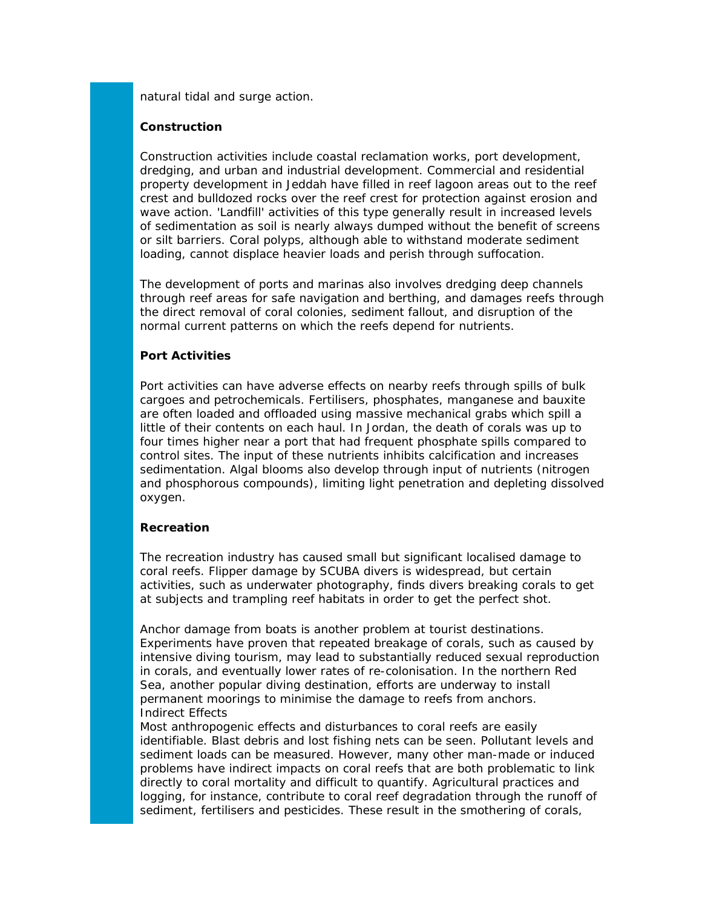natural tidal and surge action.

## **Construction**

Construction activities include coastal reclamation works, port development, dredging, and urban and industrial development. Commercial and residential property development in Jeddah have filled in reef lagoon areas out to the reef crest and bulldozed rocks over the reef crest for protection against erosion and wave action. 'Landfill' activities of this type generally result in increased levels of sedimentation as soil is nearly always dumped without the benefit of screens or silt barriers. Coral polyps, although able to withstand moderate sediment loading, cannot displace heavier loads and perish through suffocation.

The development of ports and marinas also involves dredging deep channels through reef areas for safe navigation and berthing, and damages reefs through the direct removal of coral colonies, sediment fallout, and disruption of the normal current patterns on which the reefs depend for nutrients.

## **Port Activities**

Port activities can have adverse effects on nearby reefs through spills of bulk cargoes and petrochemicals. Fertilisers, phosphates, manganese and bauxite are often loaded and offloaded using massive mechanical grabs which spill a little of their contents on each haul. In Jordan, the death of corals was up to four times higher near a port that had frequent phosphate spills compared to control sites. The input of these nutrients inhibits calcification and increases sedimentation. Algal blooms also develop through input of nutrients (nitrogen and phosphorous compounds), limiting light penetration and depleting dissolved oxygen.

### **Recreation**

The recreation industry has caused small but significant localised damage to coral reefs. Flipper damage by SCUBA divers is widespread, but certain activities, such as underwater photography, finds divers breaking corals to get at subjects and trampling reef habitats in order to get the perfect shot.

Anchor damage from boats is another problem at tourist destinations. Experiments have proven that repeated breakage of corals, such as caused by intensive diving tourism, may lead to substantially reduced sexual reproduction in corals, and eventually lower rates of re-colonisation. In the northern Red Sea, another popular diving destination, efforts are underway to install permanent moorings to minimise the damage to reefs from anchors. Indirect Effects

Most anthropogenic effects and disturbances to coral reefs are easily identifiable. Blast debris and lost fishing nets can be seen. Pollutant levels and sediment loads can be measured. However, many other man-made or induced problems have indirect impacts on coral reefs that are both problematic to link directly to coral mortality and difficult to quantify. Agricultural practices and logging, for instance, contribute to coral reef degradation through the runoff of sediment, fertilisers and pesticides. These result in the smothering of corals,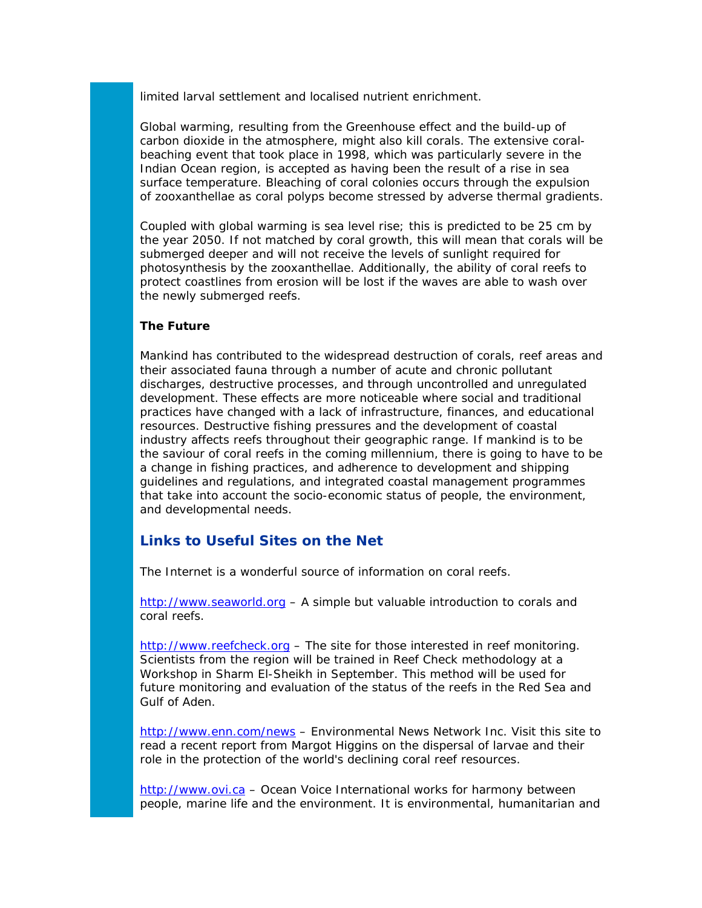limited larval settlement and localised nutrient enrichment.

Global warming, resulting from the Greenhouse effect and the build-up of carbon dioxide in the atmosphere, might also kill corals. The extensive coralbeaching event that took place in 1998, which was particularly severe in the Indian Ocean region, is accepted as having been the result of a rise in sea surface temperature. Bleaching of coral colonies occurs through the expulsion of zooxanthellae as coral polyps become stressed by adverse thermal gradients.

Coupled with global warming is sea level rise; this is predicted to be 25 cm by the year 2050. If not matched by coral growth, this will mean that corals will be submerged deeper and will not receive the levels of sunlight required for photosynthesis by the zooxanthellae. Additionally, the ability of coral reefs to protect coastlines from erosion will be lost if the waves are able to wash over the newly submerged reefs.

### **The Future**

Mankind has contributed to the widespread destruction of corals, reef areas and their associated fauna through a number of acute and chronic pollutant discharges, destructive processes, and through uncontrolled and unregulated development. These effects are more noticeable where social and traditional practices have changed with a lack of infrastructure, finances, and educational resources. Destructive fishing pressures and the development of coastal industry affects reefs throughout their geographic range. If mankind is to be the saviour of coral reefs in the coming millennium, there is going to have to be a change in fishing practices, and adherence to development and shipping guidelines and regulations, and integrated coastal management programmes that take into account the socio-economic status of people, the environment, and developmental needs.

## **Links to Useful Sites on the Net**

The Internet is a wonderful source of information on coral reefs.

[http://www.seaworld.org](http://www.seaworld.org/) – A simple but valuable introduction to corals and coral reefs.

[http://www.reefcheck.org](http://www.reefcheck.org/) – The site for those interested in reef monitoring. Scientists from the region will be trained in Reef Check methodology at a Workshop in Sharm El-Sheikh in September. This method will be used for future monitoring and evaluation of the status of the reefs in the Red Sea and Gulf of Aden.

<http://www.enn.com/news>– Environmental News Network Inc. Visit this site to read a recent report from Margot Higgins on the dispersal of larvae and their role in the protection of the world's declining coral reef resources.

[http://www.ovi.ca](http://www.ovi.ca/) – Ocean Voice International works for harmony between people, marine life and the environment. It is environmental, humanitarian and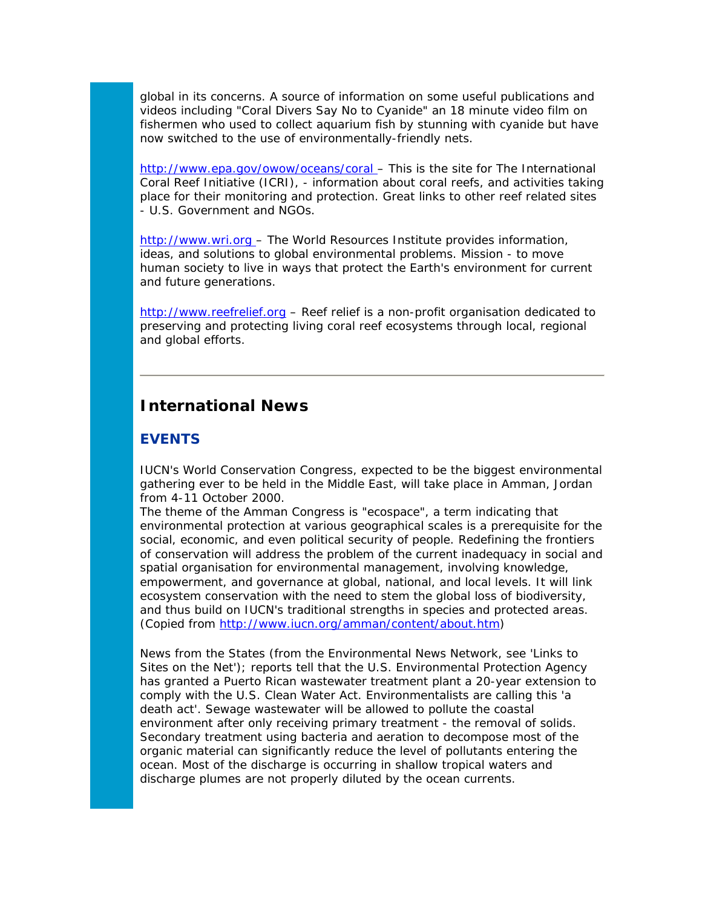global in its concerns. A source of information on some useful publications and videos including "Coral Divers Say No to Cyanide" an 18 minute video film on fishermen who used to collect aquarium fish by stunning with cyanide but have now switched to the use of environmentally-friendly nets.

<http://www.epa.gov/owow/oceans/coral>– This is the site for The International Coral Reef Initiative (ICRI), - information about coral reefs, and activities taking place for their monitoring and protection. Great links to other reef related sites - U.S. Government and NGOs.

[http://www.wri.org](http://www.wri.org%20/) - The World Resources Institute provides information, ideas, and solutions to global environmental problems. Mission - to move human society to live in ways that protect the Earth's environment for current and future generations.

[http://www.reefrelief.org](http://www.reefrelief.org/) – Reef relief is a non-profit organisation dedicated to preserving and protecting living coral reef ecosystems through local, regional and global efforts.

## **International News**

## **EVENTS**

IUCN's World Conservation Congress, expected to be the biggest environmental gathering ever to be held in the Middle East, will take place in Amman, Jordan from 4-11 October 2000.

The theme of the Amman Congress is "ecospace", a term indicating that environmental protection at various geographical scales is a prerequisite for the social, economic, and even political security of people. Redefining the frontiers of conservation will address the problem of the current inadequacy in social and spatial organisation for environmental management, involving knowledge, empowerment, and governance at global, national, and local levels. It will link ecosystem conservation with the need to stem the global loss of biodiversity, and thus build on IUCN's traditional strengths in species and protected areas. (Copied from <http://www.iucn.org/amman/content/about.htm>)

News from the States (from the Environmental News Network, see 'Links to Sites on the Net'); reports tell that the U.S. Environmental Protection Agency has granted a Puerto Rican wastewater treatment plant a 20-year extension to comply with the U.S. Clean Water Act. Environmentalists are calling this 'a death act'. Sewage wastewater will be allowed to pollute the coastal environment after only receiving primary treatment - the removal of solids. Secondary treatment using bacteria and aeration to decompose most of the organic material can significantly reduce the level of pollutants entering the ocean. Most of the discharge is occurring in shallow tropical waters and discharge plumes are not properly diluted by the ocean currents.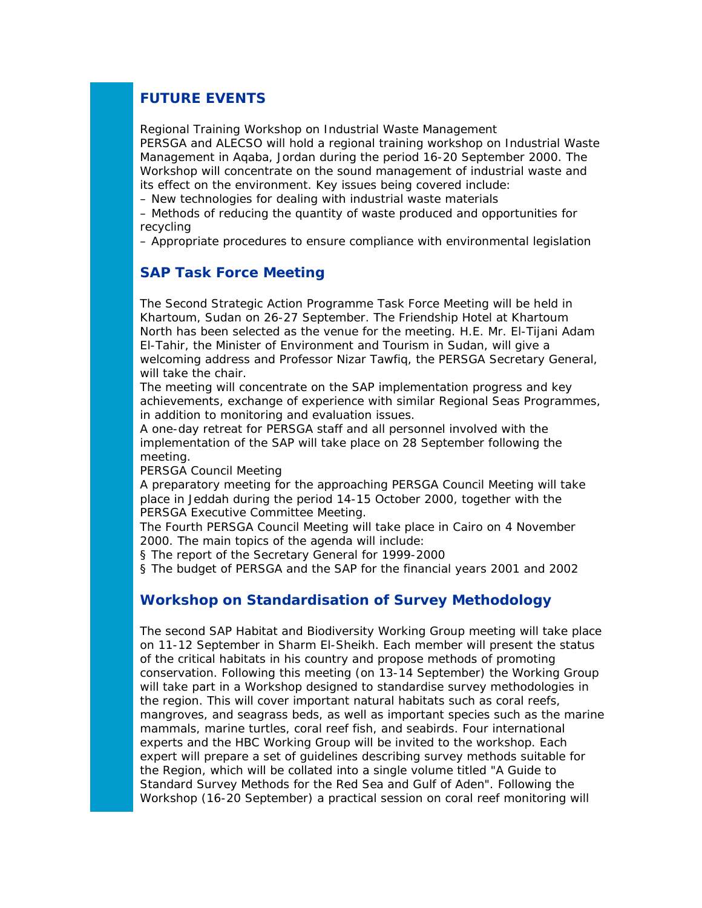## **FUTURE EVENTS**

Regional Training Workshop on Industrial Waste Management PERSGA and ALECSO will hold a regional training workshop on Industrial Waste Management in Aqaba, Jordan during the period 16-20 September 2000. The Workshop will concentrate on the sound management of industrial waste and its effect on the environment. Key issues being covered include:

– New technologies for dealing with industrial waste materials

– Methods of reducing the quantity of waste produced and opportunities for recycling

– Appropriate procedures to ensure compliance with environmental legislation

## **SAP Task Force Meeting**

The Second Strategic Action Programme Task Force Meeting will be held in Khartoum, Sudan on 26-27 September. The Friendship Hotel at Khartoum North has been selected as the venue for the meeting. H.E. Mr. El-Tijani Adam El-Tahir, the Minister of Environment and Tourism in Sudan, will give a welcoming address and Professor Nizar Tawfiq, the PERSGA Secretary General, will take the chair.

The meeting will concentrate on the SAP implementation progress and key achievements, exchange of experience with similar Regional Seas Programmes, in addition to monitoring and evaluation issues.

A one-day retreat for PERSGA staff and all personnel involved with the implementation of the SAP will take place on 28 September following the meeting.

PERSGA Council Meeting

A preparatory meeting for the approaching PERSGA Council Meeting will take place in Jeddah during the period 14-15 October 2000, together with the PERSGA Executive Committee Meeting.

The Fourth PERSGA Council Meeting will take place in Cairo on 4 November 2000. The main topics of the agenda will include:

§ The report of the Secretary General for 1999-2000

§ The budget of PERSGA and the SAP for the financial years 2001 and 2002

## **Workshop on Standardisation of Survey Methodology**

The second SAP Habitat and Biodiversity Working Group meeting will take place on 11-12 September in Sharm El-Sheikh. Each member will present the status of the critical habitats in his country and propose methods of promoting conservation. Following this meeting (on 13-14 September) the Working Group will take part in a Workshop designed to standardise survey methodologies in the region. This will cover important natural habitats such as coral reefs, mangroves, and seagrass beds, as well as important species such as the marine mammals, marine turtles, coral reef fish, and seabirds. Four international experts and the HBC Working Group will be invited to the workshop. Each expert will prepare a set of guidelines describing survey methods suitable for the Region, which will be collated into a single volume titled "A Guide to Standard Survey Methods for the Red Sea and Gulf of Aden". Following the Workshop (16-20 September) a practical session on coral reef monitoring will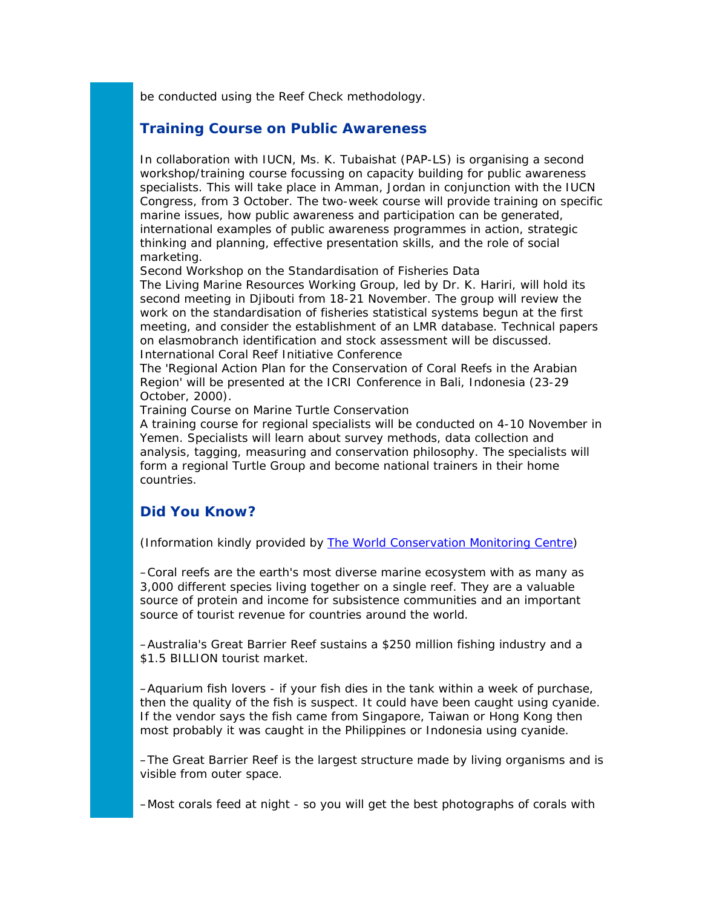be conducted using the Reef Check methodology.

## **Training Course on Public Awareness**

In collaboration with IUCN, Ms. K. Tubaishat (PAP-LS) is organising a second workshop/training course focussing on capacity building for public awareness specialists. This will take place in Amman, Jordan in conjunction with the IUCN Congress, from 3 October. The two-week course will provide training on specific marine issues, how public awareness and participation can be generated, international examples of public awareness programmes in action, strategic thinking and planning, effective presentation skills, and the role of social marketing.

Second Workshop on the Standardisation of Fisheries Data

The Living Marine Resources Working Group, led by Dr. K. Hariri, will hold its second meeting in Djibouti from 18-21 November. The group will review the work on the standardisation of fisheries statistical systems begun at the first meeting, and consider the establishment of an LMR database. Technical papers on elasmobranch identification and stock assessment will be discussed. International Coral Reef Initiative Conference

The 'Regional Action Plan for the Conservation of Coral Reefs in the Arabian Region' will be presented at the ICRI Conference in Bali, Indonesia (23-29 October, 2000).

Training Course on Marine Turtle Conservation

A training course for regional specialists will be conducted on 4-10 November in Yemen. Specialists will learn about survey methods, data collection and analysis, tagging, measuring and conservation philosophy. The specialists will form a regional Turtle Group and become national trainers in their home countries.

## **Did You Know?**

(Information kindly provided by [The World Conservation Monitoring Centre\)](http://www.wcmc.org.uk/marine/data/coral_mangrove)

–Coral reefs are the earth's most diverse marine ecosystem with as many as 3,000 different species living together on a single reef. They are a valuable source of protein and income for subsistence communities and an important source of tourist revenue for countries around the world.

–Australia's Great Barrier Reef sustains a \$250 million fishing industry and a \$1.5 BILLION tourist market.

–Aquarium fish lovers - if your fish dies in the tank within a week of purchase, then the quality of the fish is suspect. It could have been caught using cyanide. If the vendor says the fish came from Singapore, Taiwan or Hong Kong then most probably it was caught in the Philippines or Indonesia using cyanide.

–The Great Barrier Reef is the largest structure made by living organisms and is visible from outer space.

–Most corals feed at night - so you will get the best photographs of corals with